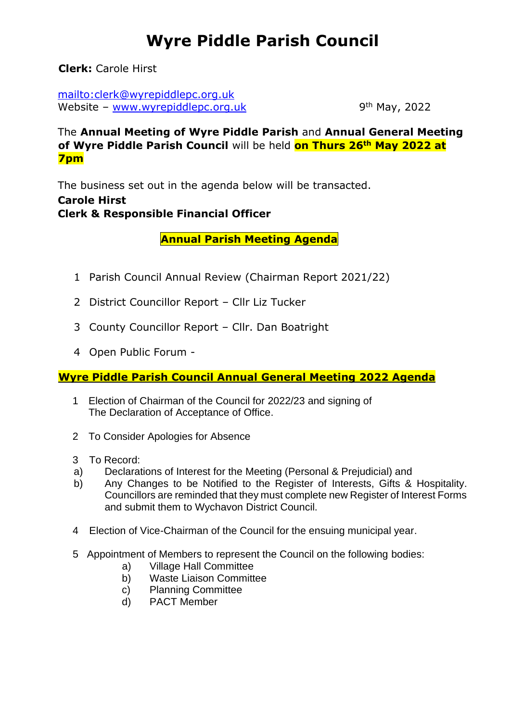## **Wyre Piddle Parish Council**

**Clerk:** Carole Hirst

mailto:clerk@wyrepiddlepc.org.uk Website – [www.wyrepiddlepc.org.uk](http://www.wyrepiddlepc.org.uk/)

9<sup>th</sup> May, 2022

The **Annual Meeting of Wyre Piddle Parish** and **Annual General Meeting of Wyre Piddle Parish Council** will be held **on Thurs 26th May 2022 at 7pm**

The business set out in the agenda below will be transacted. **Carole Hirst Clerk & Responsible Financial Officer**

 **Annual Parish Meeting Agenda**

- 1 Parish Council Annual Review (Chairman Report 2021/22)
- 2 District Councillor Report Cllr Liz Tucker
- 3 County Councillor Report Cllr. Dan Boatright
- 4 Open Public Forum -

## **Wyre Piddle Parish Council Annual General Meeting 2022 Agenda**

- 1 Election of Chairman of the Council for 2022/23 and signing of The Declaration of Acceptance of Office.
- 2 To Consider Apologies for Absence
- 3 To Record:
- a) Declarations of Interest for the Meeting (Personal & Prejudicial) and
- b) Any Changes to be Notified to the Register of Interests, Gifts & Hospitality. Councillors are reminded that they must complete new Register of Interest Forms and submit them to Wychavon District Council.
- 4 Election of Vice-Chairman of the Council for the ensuing municipal year.
- 5 Appointment of Members to represent the Council on the following bodies:
	- a) Village Hall Committee
	- b) Waste Liaison Committee
	- c) Planning Committee
	- d) PACT Member